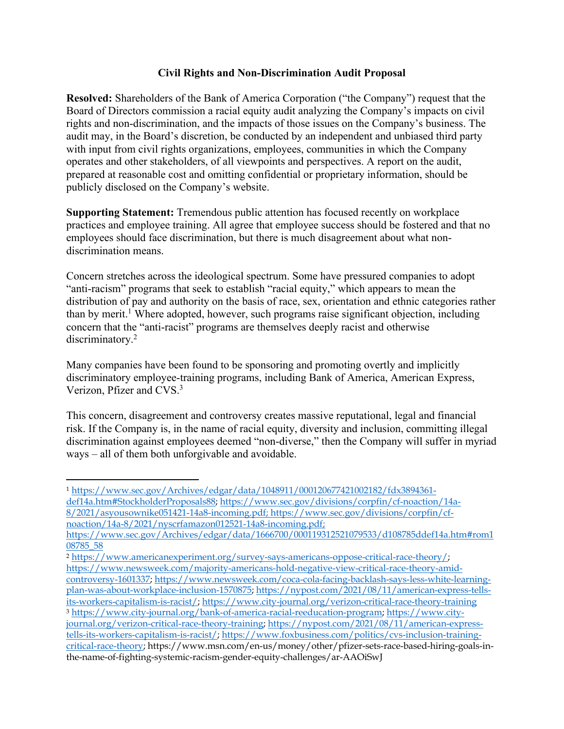## **Civil Rights and Non-Discrimination Audit Proposal**

**Resolved:** Shareholders of the Bank of America Corporation ("the Company") request that the Board of Directors commission a racial equity audit analyzing the Company's impacts on civil rights and non-discrimination, and the impacts of those issues on the Company's business. The audit may, in the Board's discretion, be conducted by an independent and unbiased third party with input from civil rights organizations, employees, communities in which the Company operates and other stakeholders, of all viewpoints and perspectives. A report on the audit, prepared at reasonable cost and omitting confidential or proprietary information, should be publicly disclosed on the Company's website.

**Supporting Statement:** Tremendous public attention has focused recently on workplace practices and employee training. All agree that employee success should be fostered and that no employees should face discrimination, but there is much disagreement about what nondiscrimination means.

Concern stretches across the ideological spectrum. Some have pressured companies to adopt "anti-racism" programs that seek to establish "racial equity," which appears to mean the distribution of pay and authority on the basis of race, sex, orientation and ethnic categories rather than by merit.<sup>1</sup> Where adopted, however, such programs raise significant objection, including concern that the "anti-racist" programs are themselves deeply racist and otherwise discriminatory.<sup>2</sup>

Many companies have been found to be sponsoring and promoting overtly and implicitly discriminatory employee-training programs, including Bank of America, American Express, Verizon, Pfizer and CVS.3

This concern, disagreement and controversy creates massive reputational, legal and financial risk. If the Company is, in the name of racial equity, diversity and inclusion, committing illegal discrimination against employees deemed "non-diverse," then the Company will suffer in myriad ways – all of them both unforgivable and avoidable.

<sup>1</sup> https://www.sec.gov/Archives/edgar/data/1048911/000120677421002182/fdx3894361 def14a.htm#StockholderProposals88; https://www.sec.gov/divisions/corpfin/cf-noaction/14a-8/2021/asyousownike051421-14a8-incoming.pdf; https://www.sec.gov/divisions/corpfin/cfnoaction/14a-8/2021/nyscrfamazon012521-14a8-incoming.pdf;

<sup>2</sup> https://www.americanexperiment.org/survey-says-americans-oppose-critical-race-theory/; https://www.newsweek.com/majority-americans-hold-negative-view-critical-race-theory-amidcontroversy-1601337; https://www.newsweek.com/coca-cola-facing-backlash-says-less-white-learningplan-was-about-workplace-inclusion-1570875; https://nypost.com/2021/08/11/american-express-tellsits-workers-capitalism-is-racist/; https://www.city-journal.org/verizon-critical-race-theory-training <sup>3</sup> https://www.city-journal.org/bank-of-america-racial-reeducation-program; https://www.cityjournal.org/verizon-critical-race-theory-training; https://nypost.com/2021/08/11/american-expresstells-its-workers-capitalism-is-racist/; https://www.foxbusiness.com/politics/cvs-inclusion-trainingcritical-race-theory; https://www.msn.com/en-us/money/other/pfizer-sets-race-based-hiring-goals-inthe-name-of-fighting-systemic-racism-gender-equity-challenges/ar-AAOiSwJ

https://www.sec.gov/Archives/edgar/data/1666700/000119312521079533/d108785ddef14a.htm#rom1 08785\_58